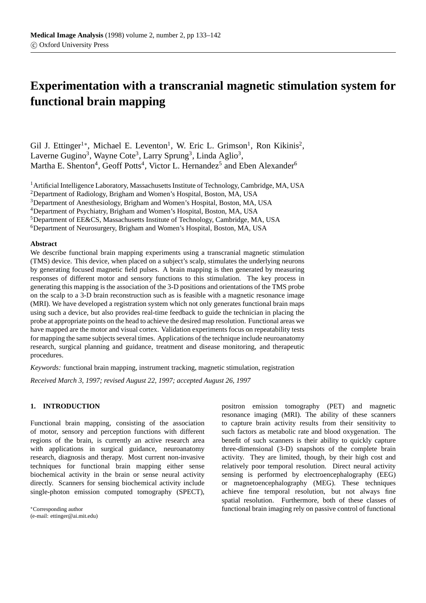# **Experimentation with a transcranial magnetic stimulation system for functional brain mapping**

Gil J. Ettinger<sup>1</sup><sup>\*</sup>, Michael E. Leventon<sup>1</sup>, W. Eric L. Grimson<sup>1</sup>, Ron Kikinis<sup>2</sup>, Laverne Gugino<sup>3</sup>, Wayne Cote<sup>3</sup>, Larry Sprung<sup>3</sup>, Linda Aglio<sup>3</sup>, Martha E. Shenton<sup>4</sup>, Geoff Potts<sup>4</sup>, Victor L. Hernandez<sup>5</sup> and Eben Alexander<sup>6</sup>

<sup>1</sup> Artificial Intelligence Laboratory, Massachusetts Institute of Technology, Cambridge, MA, USA

2Department of Radiology, Brigham and Women's Hospital, Boston, MA, USA

3Department of Anesthesiology, Brigham and Women's Hospital, Boston, MA, USA

4Department of Psychiatry, Brigham and Women's Hospital, Boston, MA, USA

5Department of EE&CS, Massachusetts Institute of Technology, Cambridge, MA, USA

6Department of Neurosurgery, Brigham and Women's Hospital, Boston, MA, USA

## **Abstract**

We describe functional brain mapping experiments using a transcranial magnetic stimulation (TMS) device. This device, when placed on a subject's scalp, stimulates the underlying neurons by generating focused magnetic field pulses. A brain mapping is then generated by measuring responses of different motor and sensory functions to this stimulation. The key process in generating this mapping is the association of the 3-D positions and orientations of the TMS probe on the scalp to a 3-D brain reconstruction such as is feasible with a magnetic resonance image (MRI). We have developed a registration system which not only generates functional brain maps using such a device, but also provides real-time feedback to guide the technician in placing the probe at appropriate points on the head to achieve the desired map resolution. Functional areas we have mapped are the motor and visual cortex. Validation experiments focus on repeatability tests for mapping the same subjects several times. Applications of the technique include neuroanatomy research, surgical planning and guidance, treatment and disease monitoring, and therapeutic procedures.

*Keywords:* functional brain mapping, instrument tracking, magnetic stimulation, registration

*Received March 3, 1997; revised August 22, 1997; accepted August 26, 1997*

# **1. INTRODUCTION**

Functional brain mapping, consisting of the association of motor, sensory and perception functions with different regions of the brain, is currently an active research area with applications in surgical guidance, neuroanatomy research, diagnosis and therapy. Most current non-invasive techniques for functional brain mapping either sense biochemical activity in the brain or sense neural activity directly. Scanners for sensing biochemical activity include single-photon emission computed tomography (SPECT),

∗Corresponding author (e-mail: ettinger@ai.mit.edu) positron emission tomography (PET) and magnetic resonance imaging (MRI). The ability of these scanners to capture brain activity results from their sensitivity to such factors as metabolic rate and blood oxygenation. The benefit of such scanners is their ability to quickly capture three-dimensional (3-D) snapshots of the complete brain activity. They are limited, though, by their high cost and relatively poor temporal resolution. Direct neural activity sensing is performed by electroencephalography (EEG) or magnetoencephalography (MEG). These techniques achieve fine temporal resolution, but not always fine spatial resolution. Furthermore, both of these classes of functional brain imaging rely on passive control of functional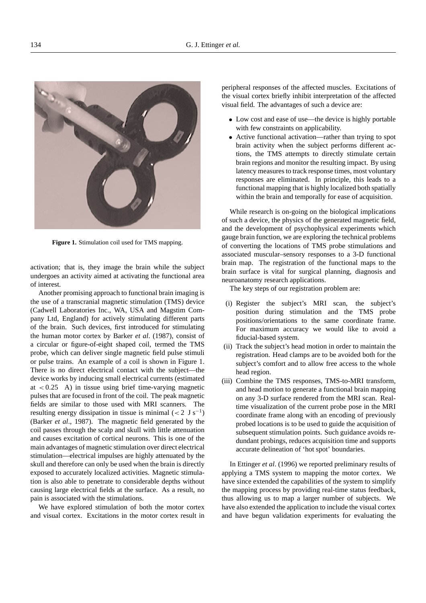

**Figure 1.** Stimulation coil used for TMS mapping.

activation; that is, they image the brain while the subject undergoes an activity aimed at activating the functional area of interest.

Another promising approach to functional brain imaging is the use of a transcranial magnetic stimulation (TMS) device (Cadwell Laboratories Inc., WA, USA and Magstim Company Ltd, England) for actively stimulating different parts of the brain. Such devices, first introduced for stimulating the human motor cortex by Barker *et al*. (1987), consist of a circular or figure-of-eight shaped coil, termed the TMS probe, which can deliver single magnetic field pulse stimuli or pulse trains. An example of a coil is shown in Figure 1. There is no direct electrical contact with the subject—the device works by inducing small electrical currents (estimated at  $< 0.25$  A) in tissue using brief time-varying magnetic pulses that are focused in front of the coil. The peak magnetic fields are similar to those used with MRI scanners. The resulting energy dissipation in tissue is minimal  $(< 2 \text{ J s}^{-1})$ (Barker *et al*., 1987). The magnetic field generated by the coil passes through the scalp and skull with little attenuation and causes excitation of cortical neurons. This is one of the main advantages of magnetic stimulation over direct electrical stimulation—electrical impulses are highly attenuated by the skull and therefore can only be used when the brain is directly exposed to accurately localized activities. Magnetic stimulation is also able to penetrate to considerable depths without causing large electrical fields at the surface. As a result, no pain is associated with the stimulations.

We have explored stimulation of both the motor cortex and visual cortex. Excitations in the motor cortex result in

peripheral responses of the affected muscles. Excitations of the visual cortex briefly inhibit interpretation of the affected visual field. The advantages of such a device are:

- Low cost and ease of use—the device is highly portable with few constraints on applicability.
- Active functional activation—rather than trying to spot brain activity when the subject performs different actions, the TMS attempts to directly stimulate certain brain regions and monitor the resulting impact. By using latency measures to track response times, most voluntary responses are eliminated. In principle, this leads to a functional mapping that is highly localized both spatially within the brain and temporally for ease of acquisition.

While research is on-going on the biological implications of such a device, the physics of the generated magnetic field, and the development of psychophysical experiments which gauge brain function, we are exploring the technical problems of converting the locations of TMS probe stimulations and associated muscular–sensory responses to a 3-D functional brain map. The registration of the functional maps to the brain surface is vital for surgical planning, diagnosis and neuroanatomy research applications.

The key steps of our registration problem are:

- (i) Register the subject's MRI scan, the subject's position during stimulation and the TMS probe positions/orientations to the same coordinate frame. For maximum accuracy we would like to avoid a fiducial-based system.
- (ii) Track the subject's head motion in order to maintain the registration. Head clamps are to be avoided both for the subject's comfort and to allow free access to the whole head region.
- (iii) Combine the TMS responses, TMS-to-MRI transform, and head motion to generate a functional brain mapping on any 3-D surface rendered from the MRI scan. Realtime visualization of the current probe pose in the MRI coordinate frame along with an encoding of previously probed locations is to be used to guide the acquisition of subsequent stimulation points. Such guidance avoids redundant probings, reduces acquisition time and supports accurate delineation of 'hot spot' boundaries.

In Ettinger *et al*. (1996) we reported preliminary results of applying a TMS system to mapping the motor cortex. We have since extended the capabilities of the system to simplify the mapping process by providing real-time status feedback, thus allowing us to map a larger number of subjects. We have also extended the application to include the visual cortex and have begun validation experiments for evaluating the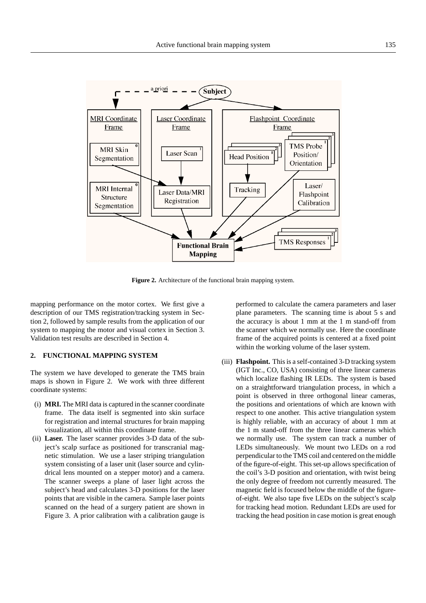

**Figure 2.** Architecture of the functional brain mapping system.

mapping performance on the motor cortex. We first give a description of our TMS registration/tracking system in Section 2, followed by sample results from the application of our system to mapping the motor and visual cortex in Section 3. Validation test results are described in Section 4.

# **2. FUNCTIONAL MAPPING SYSTEM**

The system we have developed to generate the TMS brain maps is shown in Figure 2. We work with three different coordinate systems:

- (i) **MRI.** The MRI data is captured in the scanner coordinate frame. The data itself is segmented into skin surface for registration and internal structures for brain mapping visualization, all within this coordinate frame.
- (ii) **Laser.** The laser scanner provides 3-D data of the subject's scalp surface as positioned for transcranial magnetic stimulation. We use a laser striping triangulation system consisting of a laser unit (laser source and cylindrical lens mounted on a stepper motor) and a camera. The scanner sweeps a plane of laser light across the subject's head and calculates 3-D positions for the laser points that are visible in the camera. Sample laser points scanned on the head of a surgery patient are shown in Figure 3. A prior calibration with a calibration gauge is

performed to calculate the camera parameters and laser plane parameters. The scanning time is about 5 s and the accuracy is about 1 mm at the 1 m stand-off from the scanner which we normally use. Here the coordinate frame of the acquired points is centered at a fixed point within the working volume of the laser system.

(iii) **Flashpoint.** This is a self-contained 3-D tracking system (IGT Inc., CO, USA) consisting of three linear cameras which localize flashing IR LEDs. The system is based on a straightforward triangulation process, in which a point is observed in three orthogonal linear cameras, the positions and orientations of which are known with respect to one another. This active triangulation system is highly reliable, with an accuracy of about 1 mm at the 1 m stand-off from the three linear cameras which we normally use. The system can track a number of LEDs simultaneously. We mount two LEDs on a rod perpendicular to the TMS coil and centered on the middle of the figure-of-eight. This set-up allows specification of the coil's 3-D position and orientation, with twist being the only degree of freedom not currently measured. The magnetic field is focused below the middle of the figureof-eight. We also tape five LEDs on the subject's scalp for tracking head motion. Redundant LEDs are used for tracking the head position in case motion is great enough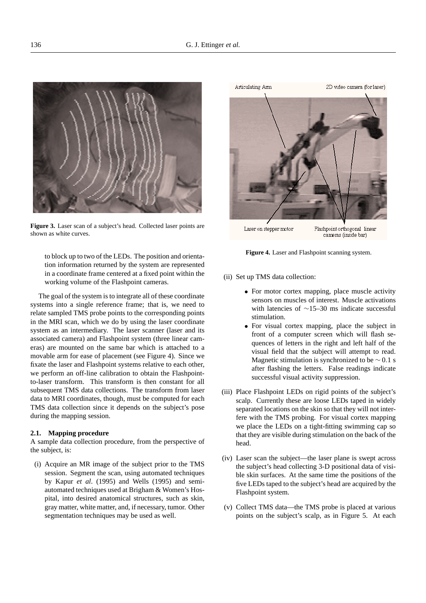

**Figure 3.** Laser scan of a subject's head. Collected laser points are shown as white curves.

to block up to two of the LEDs. The position and orientation information returned by the system are represented in a coordinate frame centered at a fixed point within the working volume of the Flashpoint cameras.

The goal of the system is to integrate all of these coordinate systems into a single reference frame; that is, we need to relate sampled TMS probe points to the corresponding points in the MRI scan, which we do by using the laser coordinate system as an intermediary. The laser scanner (laser and its associated camera) and Flashpoint system (three linear cameras) are mounted on the same bar which is attached to a movable arm for ease of placement (see Figure 4). Since we fixate the laser and Flashpoint systems relative to each other, we perform an off-line calibration to obtain the Flashpointto-laser transform. This transform is then constant for all subsequent TMS data collections. The transform from laser data to MRI coordinates, though, must be computed for each TMS data collection since it depends on the subject's pose during the mapping session.

#### **2.1. Mapping procedure**

A sample data collection procedure, from the perspective of the subject, is:

(i) Acquire an MR image of the subject prior to the TMS session. Segment the scan, using automated techniques by Kapur *et al*. (1995) and Wells (1995) and semiautomated techniques used at Brigham & Women's Hospital, into desired anatomical structures, such as skin, gray matter, white matter, and, if necessary, tumor. Other segmentation techniques may be used as well.



Laser on stepper motor

Flashpoint orthogonal linear cameras (inside bar)

**Figure 4.** Laser and Flashpoint scanning system.

- (ii) Set up TMS data collection:
	- For motor cortex mapping, place muscle activity sensors on muscles of interest. Muscle activations with latencies of ∼15–30 ms indicate successful stimulation.
	- For visual cortex mapping, place the subject in front of a computer screen which will flash sequences of letters in the right and left half of the visual field that the subject will attempt to read. Magnetic stimulation is synchronized to be  $\sim$  0.1 s after flashing the letters. False readings indicate successful visual activity suppression.
- (iii) Place Flashpoint LEDs on rigid points of the subject's scalp. Currently these are loose LEDs taped in widely separated locations on the skin so that they will not interfere with the TMS probing. For visual cortex mapping we place the LEDs on a tight-fitting swimming cap so that they are visible during stimulation on the back of the head.
- (iv) Laser scan the subject—the laser plane is swept across the subject's head collecting 3-D positional data of visible skin surfaces. At the same time the positions of the five LEDs taped to the subject's head are acquired by the Flashpoint system.
- (v) Collect TMS data—the TMS probe is placed at various points on the subject's scalp, as in Figure 5. At each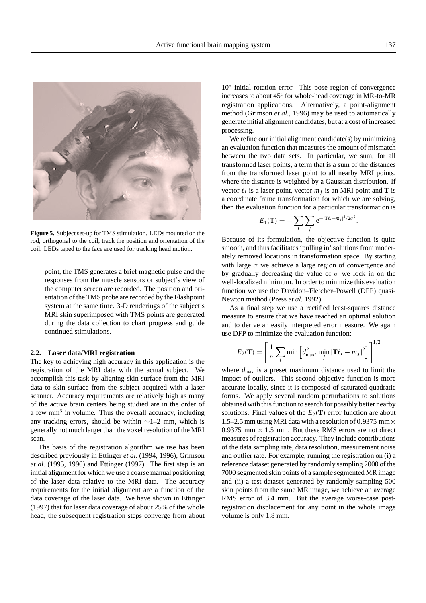

**Figure 5.** Subject set-up for TMS stimulation. LEDs mounted on the rod, orthogonal to the coil, track the position and orientation of the coil. LEDs taped to the face are used for tracking head motion.

point, the TMS generates a brief magnetic pulse and the responses from the muscle sensors or subject's view of the computer screen are recorded. The position and orientation of the TMS probe are recorded by the Flashpoint system at the same time. 3-D renderings of the subject's MRI skin superimposed with TMS points are generated during the data collection to chart progress and guide continued stimulations.

#### **2.2. Laser data/MRI registration**

The key to achieving high accuracy in this application is the registration of the MRI data with the actual subject. We accomplish this task by aligning skin surface from the MRI data to skin surface from the subject acquired with a laser scanner. Accuracy requirements are relatively high as many of the active brain centers being studied are in the order of a few  $mm<sup>3</sup>$  in volume. Thus the overall accuracy, including any tracking errors, should be within ∼1–2 mm, which is generally not much larger than the voxel resolution of the MRI scan.

The basis of the registration algorithm we use has been described previously in Ettinger *et al*. (1994, 1996), Grimson *et al.* (1995, 1996) and Ettinger (1997). The first step is an initial alignment for which we use a coarse manual positioning of the laser data relative to the MRI data. The accuracy requirements for the initial alignment are a function of the data coverage of the laser data. We have shown in Ettinger (1997) that for laser data coverage of about 25% of the whole head, the subsequent registration steps converge from about

10◦ initial rotation error. This pose region of convergence increases to about 45◦ for whole-head coverage in MR-to-MR registration applications. Alternatively, a point-alignment method (Grimson *et al.*, 1996) may be used to automatically generate initial alignment candidates, but at a cost of increased processing.

We refine our initial alignment candidate(s) by minimizing an evaluation function that measures the amount of mismatch between the two data sets. In particular, we sum, for all transformed laser points, a term that is a sum of the distances from the transformed laser point to all nearby MRI points, where the distance is weighted by a Gaussian distribution. If vector  $\ell_i$  is a laser point, vector  $m_i$  is an MRI point and **T** is a coordinate frame transformation for which we are solving, then the evaluation function for a particular transformation is

$$
E_1(\mathbf{T}) = -\sum_i \sum_j e^{-|\mathbf{T}\ell_i - m_j|^2/2\sigma^2}.
$$

Because of its formulation, the objective function is quite smooth, and thus facilitates 'pulling in' solutions from moderately removed locations in transformation space. By starting with large  $\sigma$  we achieve a large region of convergence and by gradually decreasing the value of  $\sigma$  we lock in on the well-localized minimum. In order to minimize this evaluation function we use the Davidon–Fletcher–Powell (DFP) quasi-Newton method (Press *et al.* 1992).

As a final step we use a rectified least-squares distance measure to ensure that we have reached an optimal solution and to derive an easily interpreted error measure. We again use DFP to minimize the evaluation function:

$$
E_2(\mathbf{T}) = \left[\frac{1}{n}\sum_i \min\left[d_{\text{max}}^2, \min_j |\mathbf{T}\ell_i - m_j|^2\right]\right]^{1/2}
$$

where  $d_{\text{max}}$  is a preset maximum distance used to limit the impact of outliers. This second objective function is more accurate locally, since it is composed of saturated quadratic forms. We apply several random perturbations to solutions obtained with this function to search for possibly better nearby solutions. Final values of the  $E_2(T)$  error function are about 1.5–2.5 mm using MRI data with a resolution of 0.9375 mm  $\times$ 0.9375 mm  $\times$  1.5 mm. But these RMS errors are not direct measures of registration accuracy. They include contributions of the data sampling rate, data resolution, measurement noise and outlier rate. For example, running the registration on (i) a reference dataset generated by randomly sampling 2000 of the 7000 segmented skin points of a sample segmented MR image and (ii) a test dataset generated by randomly sampling 500 skin points from the same MR image, we achieve an average RMS error of 3.4 mm. But the average worse-case postregistration displacement for any point in the whole image volume is only 1.8 mm.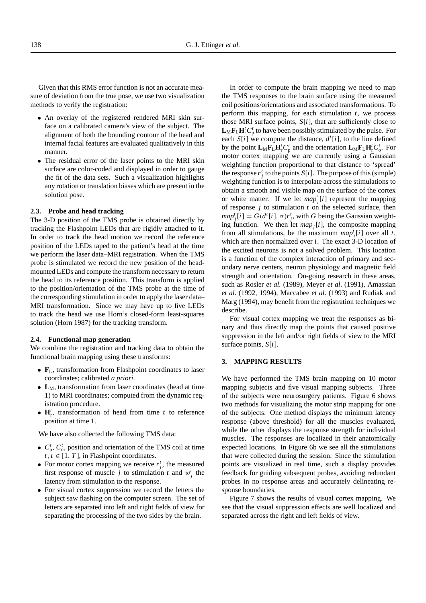Given that this RMS error function is not an accurate measure of deviation from the true pose, we use two visualization methods to verify the registration:

- An overlay of the registered rendered MRI skin surface on a calibrated camera's view of the subject. The alignment of both the bounding contour of the head and internal facial features are evaluated qualitatively in this manner.
- The residual error of the laser points to the MRI skin surface are color-coded and displayed in order to gauge the fit of the data sets. Such a visualization highlights any rotation or translation biases which are present in the solution pose.

#### **2.3. Probe and head tracking**

The 3-D position of the TMS probe is obtained directly by tracking the Flashpoint LEDs that are rigidly attached to it. In order to track the head motion we record the reference position of the LEDs taped to the patient's head at the time we perform the laser data–MRI registration. When the TMS probe is stimulated we record the new position of the headmounted LEDs and compute the transform necessary to return the head to its reference position. This transform is applied to the position/orientation of the TMS probe at the time of the corresponding stimulation in order to apply the laser data– MRI transformation. Since we may have up to five LEDs to track the head we use Horn's closed-form least-squares solution (Horn 1987) for the tracking transform.

# **2.4. Functional map generation**

We combine the registration and tracking data to obtain the functional brain mapping using these transforms:

- **F**L, transformation from Flashpoint coordinates to laser coordinates; calibrated *a priori*.
- L<sub>M</sub>, transformation from laser coordinates (head at time 1) to MRI coordinates; computed from the dynamic registration procedure.
- $\mathbf{H}_r^t$ , transformation of head from time *t* to reference position at time 1.

We have also collected the following TMS data:

- $C_p^t$ ,  $C_o^t$ , position and orientation of the TMS coil at time  $t, t \in [1, T]$ , in Flashpoint coordinates.
- For motor cortex mapping we receive  $r_j^t$ , the measured first response of muscle *j* to stimulation *t* and  $w_j^t$  the latency from stimulation to the response.
- For visual cortex suppression we record the letters the subject saw flashing on the computer screen. The set of letters are separated into left and right fields of view for separating the processing of the two sides by the brain.

In order to compute the brain mapping we need to map the TMS responses to the brain surface using the measured coil positions/orientations and associated transformations. To perform this mapping, for each stimulation *t*, we process those MRI surface points, *S*[*i*], that are sufficiently close to  $\mathbf{L}_M \mathbf{F}_L \mathbf{H}_r^t C_p^t$  to have been possibly stimulated by the pulse. For each  $S[i]$  we compute the distance,  $d^{t}[i]$ , to the line defined by the point  $\mathbf{L}_M \mathbf{F}_L \mathbf{H}_r^t C_p^t$  and the orientation  $\mathbf{L}_M \mathbf{F}_L \mathbf{H}_r^t C_o^t$ . For motor cortex mapping we are currently using a Gaussian weighting function proportional to that distance to 'spread' the response  $r_j^t$  to the points  $S[i]$ . The purpose of this (simple) weighting function is to interpolate across the stimulations to obtain a smooth and visible map on the surface of the cortex or white matter. If we let  $map_j^t[i]$  represent the mapping of response *j* to stimulation *t* on the selected surface, then  $map_j^t[i] = G(d^t[i], \sigma) r_j^t$ , with *G* being the Gaussian weighting function. We then let  $map_i[i]$ , the composite mapping from all stimulations, be the maximum  $map_j^t[i]$  over all *t*, which are then normalized over *i*. The exact 3-D location of the excited neurons is not a solved problem. This location is a function of the complex interaction of primary and secondary nerve centers, neuron physiology and magnetic field strength and orientation. On-going research in these areas, such as Rosler *et al.* (1989), Meyer *et al*. (1991), Amassian *et al*. (1992, 1994), Maccabee *et al*. (1993) and Rudiak and Marg (1994), may benefit from the registration techniques we describe.

For visual cortex mapping we treat the responses as binary and thus directly map the points that caused positive suppression in the left and/or right fields of view to the MRI surface points, *S*[*i*].

#### **3. MAPPING RESULTS**

We have performed the TMS brain mapping on 10 motor mapping subjects and five visual mapping subjects. Three of the subjects were neurosurgery patients. Figure 6 shows two methods for visualizing the motor strip mapping for one of the subjects. One method displays the minimum latency response (above threshold) for all the muscles evaluated, while the other displays the response strength for individual muscles. The responses are localized in their anatomically expected locations. In Figure 6b we see all the stimulations that were collected during the session. Since the stimulation points are visualized in real time, such a display provides feedback for guiding subsequent probes, avoiding redundant probes in no response areas and accurately delineating response boundaries.

Figure 7 shows the results of visual cortex mapping. We see that the visual suppression effects are well localized and separated across the right and left fields of view.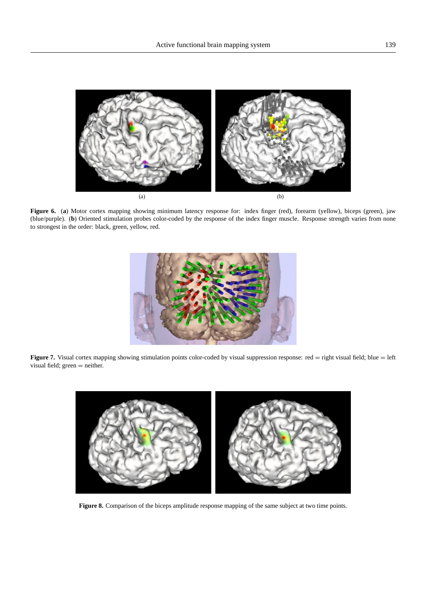

**Figure 6.** (**a**) Motor cortex mapping showing minimum latency response for: index finger (red), forearm (yellow), biceps (green), jaw (blue/purple). (**b**) Oriented stimulation probes color-coded by the response of the index finger muscle. Response strength varies from none to strongest in the order: black, green, yellow, red.



Figure 7. Visual cortex mapping showing stimulation points color-coded by visual suppression response: red = right visual field; blue = left visual field;  $green = neither$ .



**Figure 8.** Comparison of the biceps amplitude response mapping of the same subject at two time points.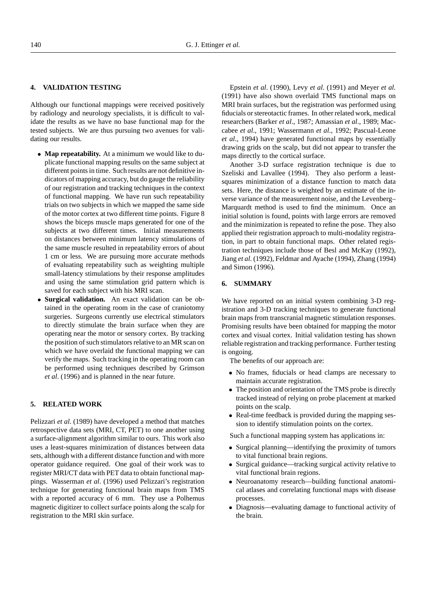## **4. VALIDATION TESTING**

Although our functional mappings were received positively by radiology and neurology specialists, it is difficult to validate the results as we have no base functional map for the tested subjects. We are thus pursuing two avenues for validating our results.

- **Map repeatability.** At a minimum we would like to duplicate functional mapping results on the same subject at different points in time. Such results are not definitive indicators of mapping accuracy, but do gauge the reliability of our registration and tracking techniques in the context of functional mapping. We have run such repeatability trials on two subjects in which we mapped the same side of the motor cortex at two different time points. Figure 8 shows the biceps muscle maps generated for one of the subjects at two different times. Initial measurements on distances between minimum latency stimulations of the same muscle resulted in repeatability errors of about 1 cm or less. We are pursuing more accurate methods of evaluating repeatability such as weighting multiple small-latency stimulations by their response amplitudes and using the same stimulation grid pattern which is saved for each subject with his MRI scan.
- **Surgical validation.** An exact validation can be obtained in the operating room in the case of craniotomy surgeries. Surgeons currently use electrical stimulators to directly stimulate the brain surface when they are operating near the motor or sensory cortex. By tracking the position of such stimulators relative to an MR scan on which we have overlaid the functional mapping we can verify the maps. Such tracking in the operating room can be performed using techniques described by Grimson *et al*. (1996) and is planned in the near future.

# **5. RELATED WORK**

Pelizzari *et al*. (1989) have developed a method that matches retrospective data sets (MRI, CT, PET) to one another using a surface-alignment algorithm similar to ours. This work also uses a least-squares minimization of distances between data sets, although with a different distance function and with more operator guidance required. One goal of their work was to register MRI/CT data with PET data to obtain functional mappings. Wasserman *et al*. (1996) used Pelizzari's registration technique for generating functional brain maps from TMS with a reported accuracy of 6 mm. They use a Polhemus magnetic digitizer to collect surface points along the scalp for registration to the MRI skin surface.

Epstein *et al*. (1990), Levy *et al*. (1991) and Meyer *et al.* (1991) have also shown overlaid TMS functional maps on MRI brain surfaces, but the registration was performed using fiducials or stereotactic frames. In other related work, medical researchers (Barker *et al*., 1987; Amassian *et al*., 1989; Maccabee *et al*., 1991; Wassermann *et al*., 1992; Pascual-Leone *et al*., 1994) have generated functional maps by essentially drawing grids on the scalp, but did not appear to transfer the maps directly to the cortical surface.

Another 3-D surface registration technique is due to Szeliski and Lavallee (1994). They also perform a leastsquares minimization of a distance function to match data sets. Here, the distance is weighted by an estimate of the inverse variance of the measurement noise, and the Levenberg– Marquardt method is used to find the minimum. Once an initial solution is found, points with large errors are removed and the minimization is repeated to refine the pose. They also applied their registration approach to multi-modality registration, in part to obtain functional maps. Other related registration techniques include those of Besl and McKay (1992), Jiang *et al*. (1992), Feldmar and Ayache (1994), Zhang (1994) and Simon (1996).

## **6. SUMMARY**

We have reported on an initial system combining 3-D registration and 3-D tracking techniques to generate functional brain maps from transcranial magnetic stimulation responses. Promising results have been obtained for mapping the motor cortex and visual cortex. Initial validation testing has shown reliable registration and tracking performance. Further testing is ongoing.

The benefits of our approach are:

- No frames, fiducials or head clamps are necessary to maintain accurate registration.
- The position and orientation of the TMS probe is directly tracked instead of relying on probe placement at marked points on the scalp.
- Real-time feedback is provided during the mapping session to identify stimulation points on the cortex.

Such a functional mapping system has applications in:

- Surgical planning—identifying the proximity of tumors to vital functional brain regions.
- Surgical guidance—tracking surgical activity relative to vital functional brain regions.
- Neuroanatomy research—building functional anatomical atlases and correlating functional maps with disease processes.
- Diagnosis—evaluating damage to functional activity of the brain.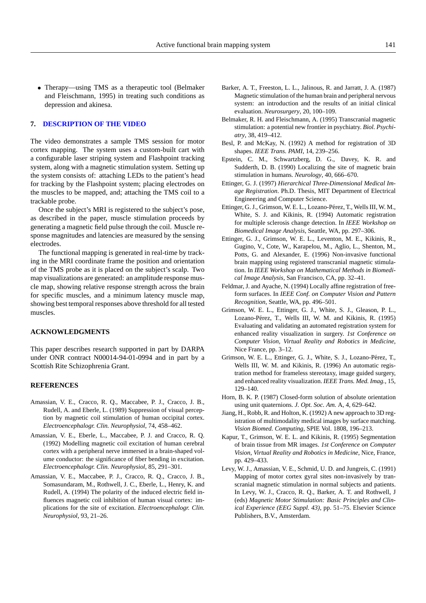• Therapy—using TMS as a therapeutic tool (Belmaker and Fleischmann, 1995) in treating such conditions as depression and akinesa.

### **7. DESCRIPTION OF THE VIDEO**

The video demonstrates a sample TMS session for motor cortex mapping. The system uses a custom-built cart with a configurable laser striping system and Flashpoint tracking system, along with a magnetic stimulation system. Setting up the system consists of: attaching LEDs to the patient's head for tracking by the Flashpoint system; placing electrodes on the muscles to be mapped, and; attaching the TMS coil to a trackable probe.

Once the subject's MRI is registered to the subject's pose, as described in the paper, muscle stimulation proceeds by generating a magnetic field pulse through the coil. Muscle response magnitudes and latencies are measured by the sensing electrodes.

The functional mapping is generated in real-time by tracking in the MRI coordinate frame the position and orientation of the TMS probe as it is placed on the subject's scalp. Two map visualizations are generated: an amplitude response muscle map, showing relative response strength across the brain for specific muscles, and a minimum latency muscle map, showing best temporal responses above threshold for all tested muscles.

#### **ACKNOWLEDGMENTS**

This paper describes research supported in part by DARPA under ONR contract N00014-94-01-0994 and in part by a Scottish Rite Schizophrenia Grant.

#### **REFERENCES**

- Amassian, V. E., Cracco, R. Q., Maccabee, P. J., Cracco, J. B., Rudell, A. and Eberle, L. (1989) Suppression of visual perception by magnetic coil stimulation of human occipital cortex. *Electroencephalogr. Clin. Neurophysiol*, 74, 458–462.
- Amassian, V. E., Eberle, L., Maccabee, P. J. and Cracco, R. Q. (1992) Modelling magnetic coil excitation of human cerebral cortex with a peripheral nerve immersed in a brain-shaped volume conductor: the significance of fiber bending in excitation. *Electroencephalogr. Clin. Neurophysiol*, 85, 291–301.
- Amassian, V. E., Maccabee, P. J., Cracco, R. Q., Cracco, J. B., Somasundaram, M., Rothwell, J. C., Eberle, L., Henry, K. and Rudell, A. (1994) The polarity of the induced electric field influences magnetic coil inhibition of human visual cortex: implications for the site of excitation. *Electroencephalogr. Clin. Neurophysiol*, 93, 21–26.
- Barker, A. T., Freeston, L. L., Jalinous, R. and Jarratt, J. A. (1987) Magnetic stimulation of the human brain and peripheral nervous system: an introduction and the results of an initial clinical evaluation. *Neurosurgery*, 20, 100–109.
- Belmaker, R. H. and Fleischmann, A. (1995) Transcranial magnetic stimulation: a potential new frontier in psychiatry. *Biol. Psychiatry*, 38, 419–412.
- Besl, P. and McKay, N. (1992) A method for registration of 3D shapes. *IEEE Trans. PAMI*, 14, 239–256.
- Epstein, C. M., Schwartzberg, D. G., Davey, K. R. and Sudderth, D. B. (1990) Localizing the site of magnetic brain stimulation in humans. *Neurology*, 40, 666–670.
- Ettinger, G. J. (1997) *Hierarchical Three-Dimensional Medical Image Registration*. Ph.D. Thesis, MIT Department of Electrical Engineering and Computer Science.
- Ettinger, G. J., Grimson, W. E. L., Lozano-Pérez, T., Wells III, W. M., White, S. J. and Kikinis, R. (1994) Automatic registration for multiple sclerosis change detection. In *IEEE Workshop on Biomedical Image Analysis*, Seattle, WA, pp. 297–306.
- Ettinger, G. J., Grimson, W. E. L., Leventon, M. E., Kikinis, R., Gugino, V., Cote, W., Karapelou, M., Aglio, L., Shenton, M., Potts, G. and Alexander, E. (1996) Non-invasive functional brain mapping using registered transcranial magnetic stimulation. In *IEEE Workshop on Mathematical Methods in Biomedical Image Analysis*, San Francisco, CA, pp. 32–41.
- Feldmar, J. and Ayache, N. (1994) Locally affine registration of freeform surfaces. In *IEEE Conf. on Computer Vision and Pattern Recognition*, Seattle, WA, pp. 496–501.
- Grimson, W. E. L., Ettinger, G. J., White, S. J., Gleason, P. L., Lozano-Pérez, T., Wells III, W. M. and Kikinis, R. (1995) Evaluating and validating an automated registration system for enhanced reality visualization in surgery. *1st Conference on Computer Vision, Virtual Reality and Robotics in Medicine*, Nice France, pp. 3–12.
- Grimson, W. E. L., Ettinger, G. J., White, S. J., Lozano-Pérez, T., Wells III, W. M. and Kikinis, R. (1996) An automatic registration method for frameless stereotaxy, image guided surgery, and enhanced reality visualization. *IEEE Trans. Med. Imag.*, 15, 129–140.
- Horn, B. K. P. (1987) Closed-form solution of absolute orientation using unit quaternions. *J. Opt. Soc. Am.* A, 4, 629–642.
- Jiang, H., Robb, R. and Holton, K. (1992) A new approach to 3D registration of multimodality medical images by surface matching. *Vision Biomed. Computing*, SPIE Vol. 1808, 196–213.
- Kapur, T., Grimson, W. E. L. and Kikinis, R. (1995) Segmentation of brain tissue from MR images. *1st Conference on Computer Vision, Virtual Reality and Robotics in Medicine*, Nice, France, pp. 429–433.
- Levy, W. J., Amassian, V. E., Schmid, U. D. and Jungreis, C. (1991) Mapping of motor cortex gyral sites non-invasively by transcranial magnetic stimulation in normal subjects and patients. In Levy, W. J., Cracco, R. Q., Barker, A. T. and Rothwell, J (eds) *Magnetic Motor Stimulation: Basic Principles and Clinical Experience (EEG Suppl. 43)*, pp. 51–75. Elsevier Science Publishers, B.V., Amsterdam.